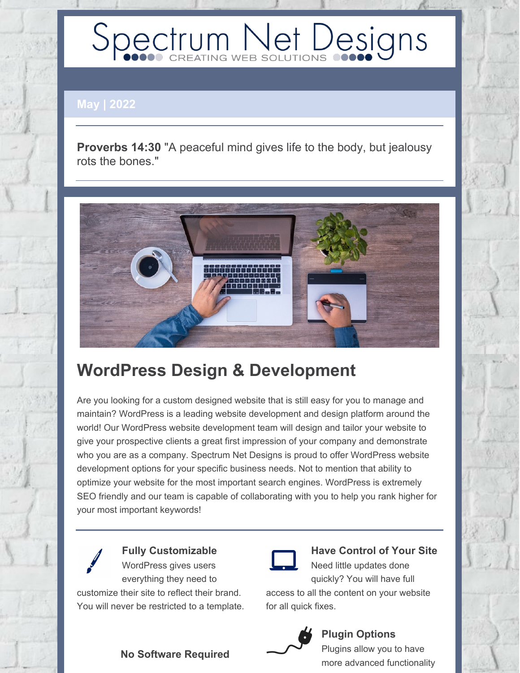# Spectrum Net Designs

**May | 2022**

**Proverbs 14:30** "A peaceful mind gives life to the body, but jealousy rots the bones."



# **WordPress Design & Development**

Are you looking for a custom designed website that is still easy for you to manage and maintain? WordPress is a leading website development and design platform around the world! Our WordPress website development team will design and tailor your website to give your prospective clients a great first impression of your company and demonstrate who you are as a company. Spectrum Net Designs is proud to offer WordPress website development options for your specific business needs. Not to mention that ability to optimize your website for the most important search engines. WordPress is extremely SEO friendly and our team is capable of collaborating with you to help you rank higher for your most important keywords!

**Fully Customizable** WordPress gives users everything they need to customize their site to reflect their brand. You will never be restricted to a template.

## **Have Control of Your Site**

Need little updates done quickly? You will have full

access to all the content on your website for all quick fixes.



#### **Plugin Options**

Plugins allow you to have more advanced functionality

#### **No Software Required**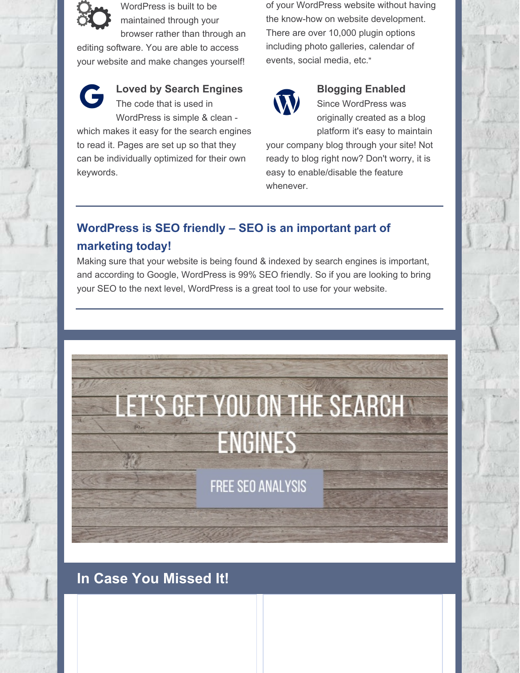

WordPress is built to be maintained through your browser rather than through an

editing software. You are able to access your website and make changes yourself!



**Loved by Search Engines** The code that is used in

WordPress is simple & clean which makes it easy for the search engines to read it. Pages are set up so that they can be individually optimized for their own keywords.

of your WordPress website without having the know-how on website development. There are over 10,000 plugin options including photo galleries, calendar of events, social media, etc."



#### **Blogging Enabled**

Since WordPress was originally created as a blog platform it's easy to maintain

your company blog through your site! Not ready to blog right now? Don't worry, it is easy to enable/disable the feature whenever.

#### **WordPress is SEO friendly – SEO is an important part of marketing today!**

Making sure that your website is being found & indexed by search engines is important, and according to Google, WordPress is 99% SEO friendly. So if you are looking to bring your SEO to the next level, WordPress is a great tool to use for your website.



**FREE SEO ANALYSIS** 

### **In Case You Missed It!**